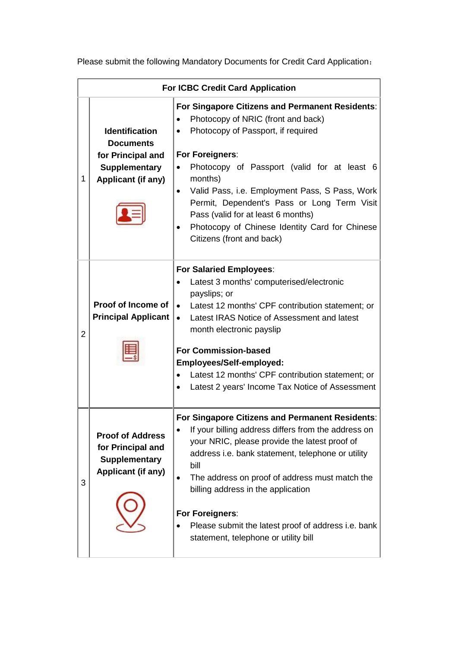**For ICBC Credit Card Application** 1 **Identification Documents for Principal and Supplementary Applicant (if any) For Singapore Citizens and Permanent Residents**: • Photocopy of NRIC (front and back) • Photocopy of Passport, if required **For Foreigners**: Photocopy of Passport (valid for at least 6 months) Valid Pass, i.e. Employment Pass, S Pass, Work Permit, Dependent's Pass or Long Term Visit Pass (valid for at least 6 months) Photocopy of Chinese Identity Card for Chinese Citizens (front and back) 2 **Proof of Income of Principal Applicant For Salaried Employees**: Latest 3 months' computerised/electronic payslips; or Latest 12 months' CPF contribution statement; or • Latest IRAS Notice of Assessment and latest month electronic payslip **For Commission-based Employees/Self-employed:** Latest 12 months' CPF contribution statement; or Latest 2 years' Income Tax Notice of Assessment 3 **Proof of Address for Principal and Supplementary Applicant (if any) For Singapore Citizens and Permanent Residents**: If your billing address differs from the address on your NRIC, please provide the latest proof of address i.e. bank statement, telephone or utility bill • The address on proof of address must match the billing address in the application **For Foreigners**: • Please submit the latest proof of address i.e. bank statement, telephone or utility bill

Please submit the following Mandatory Documents for Credit Card Application: